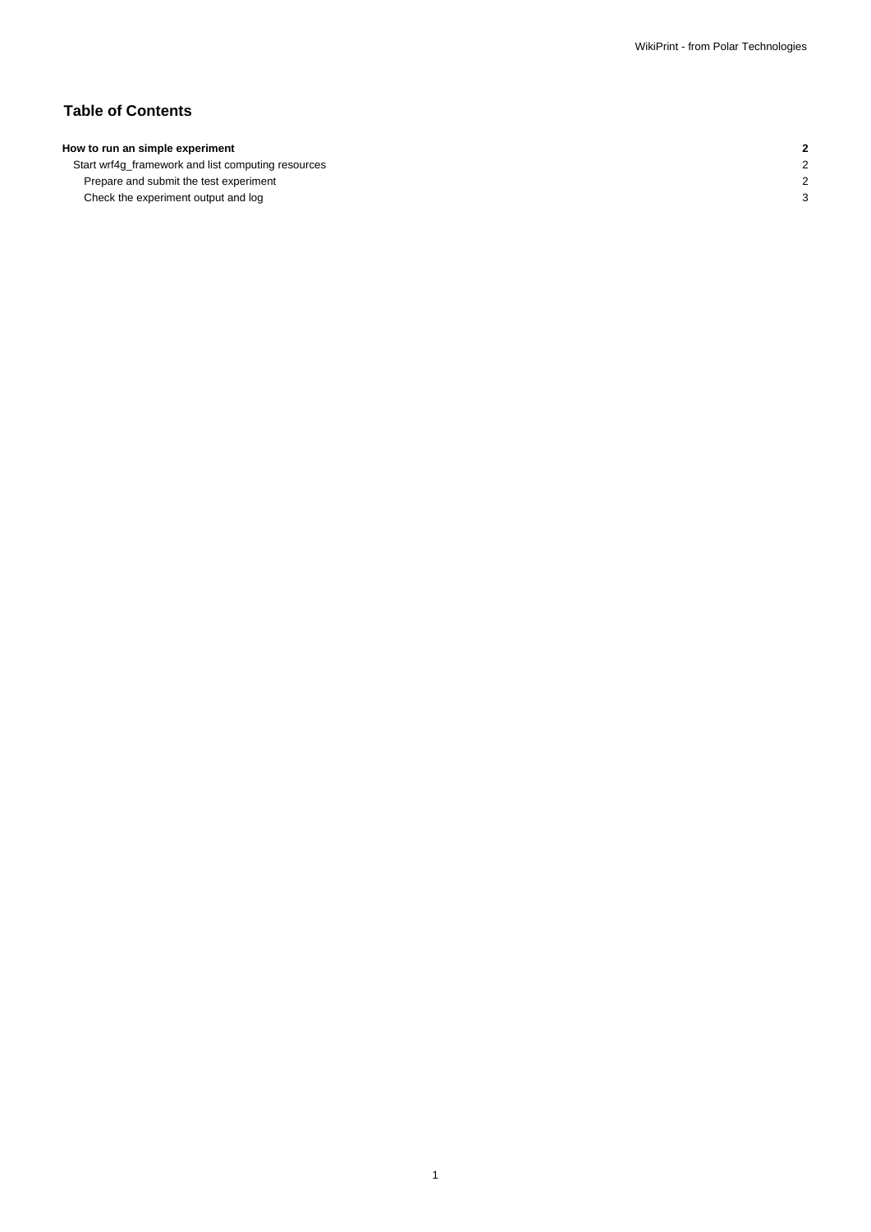# **Table of Contents**

# **How to run an simple experiment 2**

Start wrf4g\_framework and list computing resources 2 Prepare and submit the test experiment 2 Check the experiment output and log 3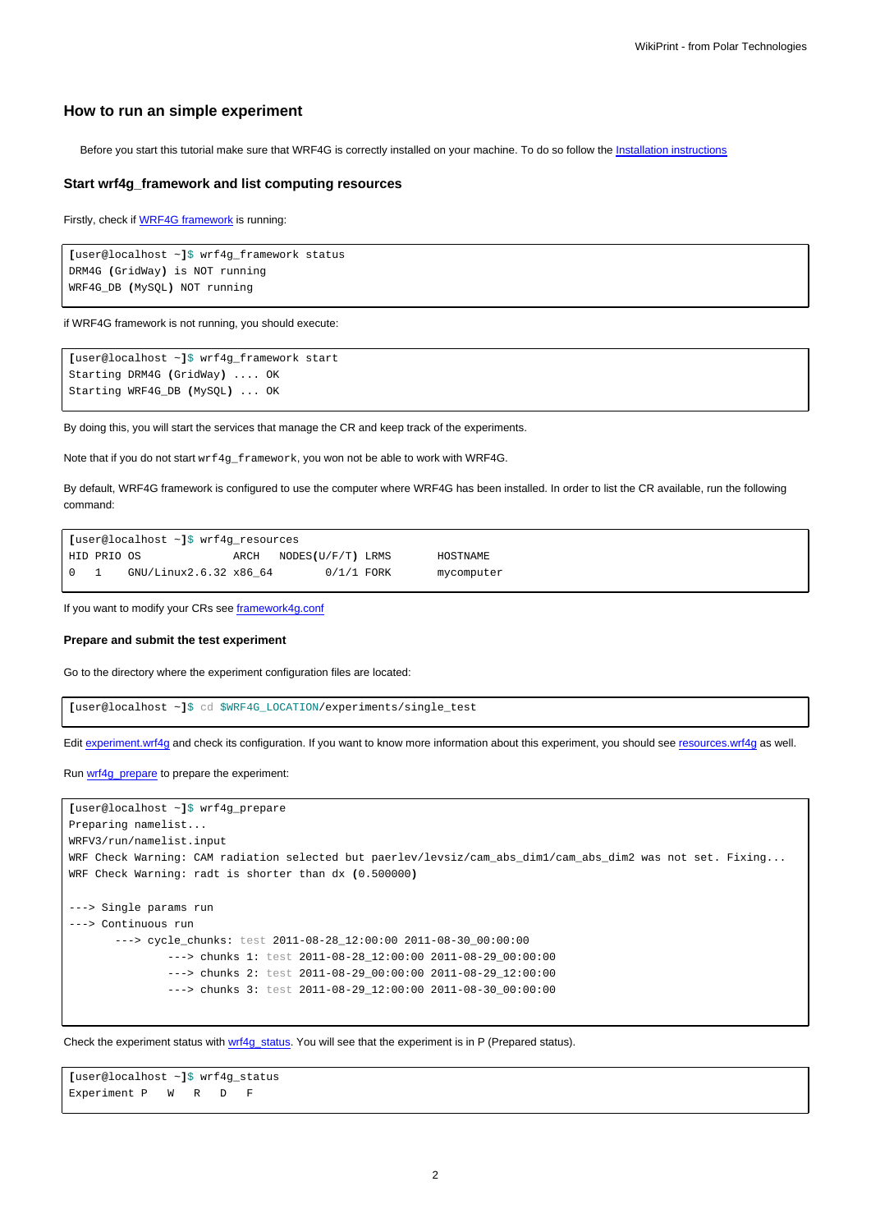## **How to run an simple experiment**

Before you start this tutorial make sure that WRF4G is correctly installed on your machine. To do so follow the [Installation instructions](https://meteo.unican.es/trac/wiki/WRF4GInstall)

### **Start wrf4g\_framework and list computing resources**

Firstly, check if [WRF4G framework](https://meteo.unican.es/trac/wiki/WRF4GFrameworkConfiguration) is running:

```
[user@localhost ~]$ wrf4g_framework status
DRM4G (GridWay) is NOT running
WRF4G_DB (MySQL) NOT running
```
if WRF4G framework is not running, you should execute:

```
[user@localhost ~]$ wrf4g_framework start
Starting DRM4G (GridWay) .... OK
Starting WRF4G_DB (MySQL) ... OK
```
By doing this, you will start the services that manage the CR and keep track of the experiments.

Note that if you do not start wrf4g\_framework, you won not be able to work with WRF4G.

By default, WRF4G framework is configured to use the computer where WRF4G has been installed. In order to list the CR available, run the following command:

```
[user@localhost ~]$ wrf4g_resources
HID PRIO OS ARCH NODES(U/F/T) LRMS HOSTNAME
0 1 GNU/Linux2.6.32 x86_64 0/1/1 FORK mycomputer
```
If you want to modify your CRs see [framework4g.conf](https://meteo.unican.es/trac/wiki/WRF4Gframework4g_conf#ComputingResources)

#### **Prepare and submit the test experiment**

Go to the directory where the experiment configuration files are located:

**[**user@localhost ~**]**\$ cd \$WRF4G\_LOCATION/experiments/single\_test

Edit [experiment.wrf4g](https://meteo.unican.es/trac/wiki/WRF4Gexperiment_wrf4g) and check its configuration. If you want to know more information about this experiment, you should see [resources.wrf4g](https://meteo.unican.es/trac/wiki/WRF4Gresources_wrf4g) as well.

Run [wrf4g\\_prepare](https://meteo.unican.es/trac/wiki/WRF4GCommandLineTools#wrf4g_prepare) to prepare the experiment:

```
[user@localhost ~]$ wrf4g_prepare
Preparing namelist...
WRFV3/run/namelist.input
WRF Check Warning: CAM radiation selected but paerlev/levsiz/cam_abs_dim1/cam_abs_dim2 was not set. Fixing...
WRF Check Warning: radt is shorter than dx (0.500000)
---> Single params run
---> Continuous run
       ---> cycle_chunks: test 2011-08-28_12:00:00 2011-08-30_00:00:00
              ---> chunks 1: test 2011-08-28_12:00:00 2011-08-29_00:00:00
               ---> chunks 2: test 2011-08-29_00:00:00 2011-08-29_12:00:00
               ---> chunks 3: test 2011-08-29_12:00:00 2011-08-30_00:00:00
```
Check the experiment status with [wrf4g\\_status.](https://meteo.unican.es/trac/wiki/WRF4GCommandLineTools#wrf4g_status) You will see that the experiment is in P (Prepared status).

**[**user@localhost ~**]**\$ wrf4g\_status Experiment P W R D F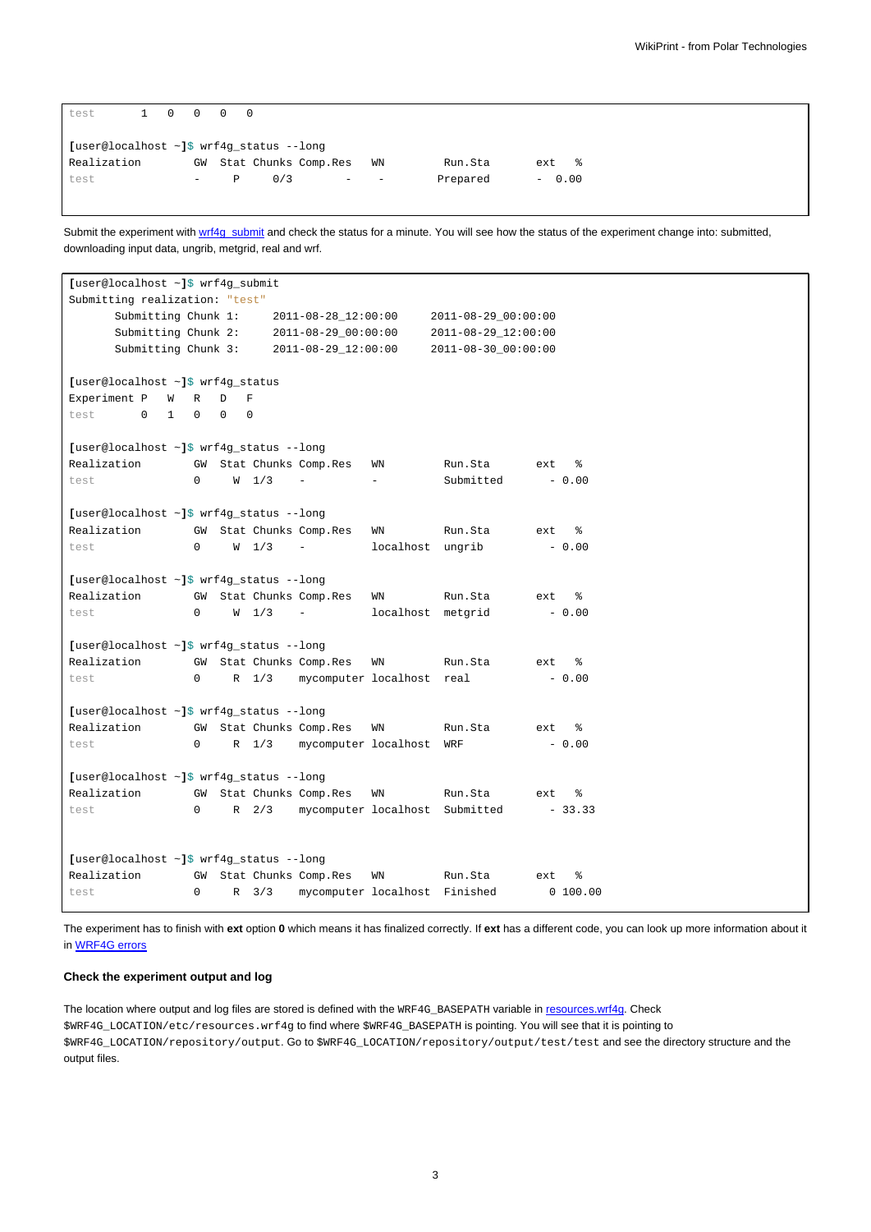| test                                           |  |  |                          | 1 0 0 0 0 |     |                      |    |          |          |
|------------------------------------------------|--|--|--------------------------|-----------|-----|----------------------|----|----------|----------|
| [user@localhost $\sim$ ]\$ wrf4g_status --long |  |  |                          |           |     |                      |    |          |          |
| Realization                                    |  |  | GW                       |           |     | Stat Chunks Comp.Res | WN | Run.Sta  | 昙<br>ext |
| test                                           |  |  | $\overline{\phantom{0}}$ | P         | 0/3 | -                    |    | Prepared | $-0.00$  |

Submit the experiment with [wrf4g\\_submit](https://meteo.unican.es/trac/wiki/WRF4GCommandLineTools#wrf4g_submit) and check the status for a minute. You will see how the status of the experiment change into: submitted, downloading input data, ungrib, metgrid, real and wrf.

```
[user@localhost ~]$ wrf4g_submit
Submitting realization: "test"
     Submitting Chunk 1: 2011-08-28_12:00:00 2011-08-29_00:00:00
     Submitting Chunk 2: 2011-08-29_00:00:00 2011-08-29_12:00:00
    Submitting Chunk 3: 2011-08-29_12:00:00 2011-08-30_00:00:00
[user@localhost ~]$ wrf4g_status
Experiment P W R D F
test 0 1 0 0 0
[user@localhost ~]$ wrf4g_status --long
Realization GW Stat Chunks Comp.Res WN Run.Sta ext %
test 0 W 1/3 - - Submitted - 0.00
[user@localhost ~]$ wrf4g_status --long
Realization GW Stat Chunks Comp.Res WN Run.Sta ext %
test 0 \tW 1/3 - localhost ungrib - 0.00
[user@localhost ~]$ wrf4g_status --long
Realization GW Stat Chunks Comp.Res WN Run.Sta ext %
test 0 W 1/3 - localhost metgrid - 0.00
[user@localhost ~]$ wrf4g_status --long
Realization GW Stat Chunks Comp.Res WN Run.Sta ext %
test 0 R 1/3 mycomputer localhost real - 0.00
[user@localhost ~]$ wrf4g_status --long
Realization GW Stat Chunks Comp.Res WN Run.Sta ext %
test 0 R 1/3 mycomputer localhost WRF - 0.00
[user@localhost ~]$ wrf4g_status --long
Realization GW Stat Chunks Comp.Res WN Run.Sta ext %
test 0 R 2/3 mycomputer localhost Submitted - 33.33
[user@localhost ~]$ wrf4g_status --long
Realization GW Stat Chunks Comp.Res WN Run.Sta ext %
test 0 R 3/3 mycomputer localhost Finished 0 100.00
```
The experiment has to finish with **ext** option **0** which means it has finalized correctly. If **ext** has a different code, you can look up more information about it in [WRF4G errors](https://meteo.unican.es/trac/wiki/WRF4GErrors)

#### **Check the experiment output and log**

The location where output and log files are stored is defined with the WRF4G\_BASEPATH variable in [resources.wrf4g.](https://meteo.unican.es/trac/wiki/WRF4Gresources_wrf4g) Check \$WRF4G\_LOCATION/etc/resources.wrf4g to find where \$WRF4G\_BASEPATH is pointing. You will see that it is pointing to \$WRF4G\_LOCATION/repository/output. Go to \$WRF4G\_LOCATION/repository/output/test/test and see the directory structure and the output files.